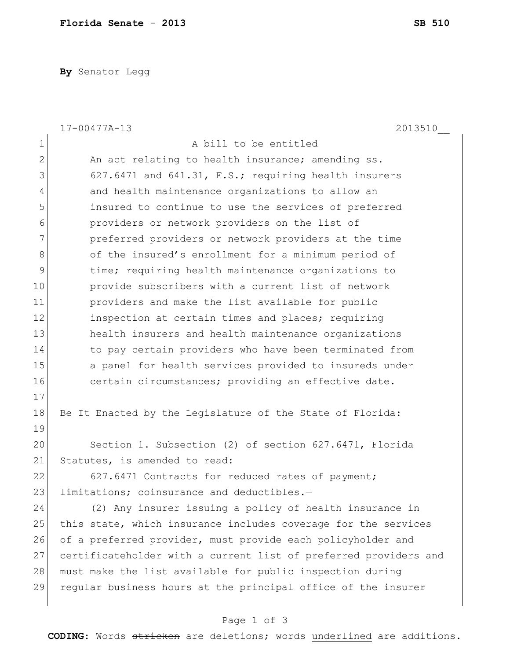**By** Senator Legg

|                | $17 - 00477A - 13$<br>2013510                                    |
|----------------|------------------------------------------------------------------|
| $\mathbf 1$    | A bill to be entitled                                            |
| $\overline{2}$ | An act relating to health insurance; amending ss.                |
| 3              | 627.6471 and 641.31, F.S.; requiring health insurers             |
| 4              | and health maintenance organizations to allow an                 |
| 5              | insured to continue to use the services of preferred             |
| 6              | providers or network providers on the list of                    |
| 7              | preferred providers or network providers at the time             |
| 8              | of the insured's enrollment for a minimum period of              |
| 9              | time; requiring health maintenance organizations to              |
| 10             | provide subscribers with a current list of network               |
| 11             | providers and make the list available for public                 |
| 12             | inspection at certain times and places; requiring                |
| 13             | health insurers and health maintenance organizations             |
| 14             | to pay certain providers who have been terminated from           |
| 15             | a panel for health services provided to insureds under           |
| 16             | certain circumstances; providing an effective date.              |
| 17             |                                                                  |
| 18             | Be It Enacted by the Legislature of the State of Florida:        |
| 19             |                                                                  |
| 20             | Section 1. Subsection (2) of section 627.6471, Florida           |
| 21             | Statutes, is amended to read:                                    |
| 22             | 627.6471 Contracts for reduced rates of payment;                 |
| 23             | limitations; coinsurance and deductibles.-                       |
| 24             | (2) Any insurer issuing a policy of health insurance in          |
| 25             | this state, which insurance includes coverage for the services   |
| 26             | of a preferred provider, must provide each policyholder and      |
| 27             | certificateholder with a current list of preferred providers and |
| 28             | must make the list available for public inspection during        |
| 29             | reqular business hours at the principal office of the insurer    |
|                |                                                                  |

## Page 1 of 3

**CODING**: Words stricken are deletions; words underlined are additions.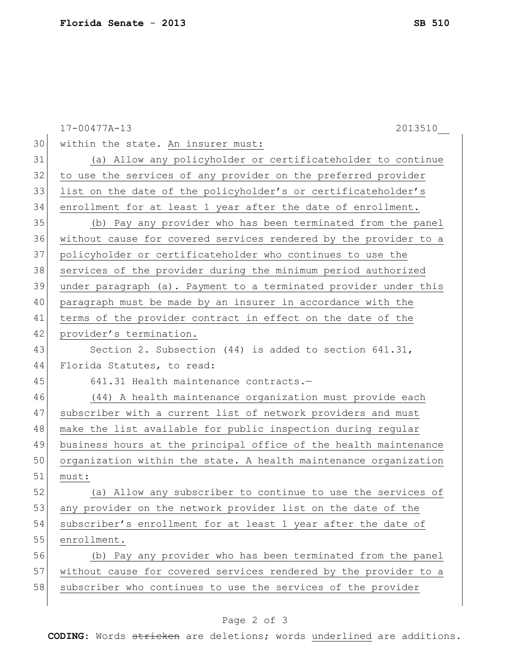|    | $17 - 00477A - 13$<br>2013510                                    |
|----|------------------------------------------------------------------|
| 30 | within the state. An insurer must:                               |
| 31 | (a) Allow any policyholder or certificateholder to continue      |
| 32 | to use the services of any provider on the preferred provider    |
| 33 | list on the date of the policyholder's or certificateholder's    |
| 34 | enrollment for at least 1 year after the date of enrollment.     |
| 35 | (b) Pay any provider who has been terminated from the panel      |
| 36 | without cause for covered services rendered by the provider to a |
| 37 | policyholder or certificateholder who continues to use the       |
| 38 | services of the provider during the minimum period authorized    |
| 39 | under paragraph (a). Payment to a terminated provider under this |
| 40 | paragraph must be made by an insurer in accordance with the      |
| 41 | terms of the provider contract in effect on the date of the      |
| 42 | provider's termination.                                          |
| 43 | Section 2. Subsection $(44)$ is added to section $641.31$ ,      |
| 44 | Florida Statutes, to read:                                       |
| 45 | 641.31 Health maintenance contracts.-                            |
| 46 | (44) A health maintenance organization must provide each         |
| 47 | subscriber with a current list of network providers and must     |
| 48 | make the list available for public inspection during regular     |
| 49 | business hours at the principal office of the health maintenance |
| 50 | organization within the state. A health maintenance organization |
| 51 | must:                                                            |
| 52 | (a) Allow any subscriber to continue to use the services of      |
| 53 | any provider on the network provider list on the date of the     |
| 54 | subscriber's enrollment for at least 1 year after the date of    |
| 55 | enrollment.                                                      |
| 56 | (b) Pay any provider who has been terminated from the panel      |
| 57 | without cause for covered services rendered by the provider to a |
| 58 | subscriber who continues to use the services of the provider     |
|    |                                                                  |

## Page 2 of 3

**CODING**: Words stricken are deletions; words underlined are additions.